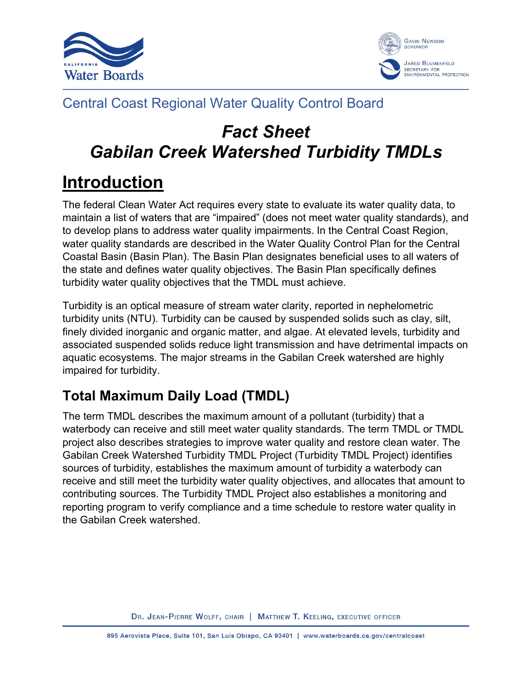



### Central Coast Regional Water Quality Control Board

## *Fact Sheet Gabilan Creek Watershed Turbidity TMDLs*

# **Introduction**

The federal Clean Water Act requires every state to evaluate its water quality data, to maintain a list of waters that are "impaired" (does not meet water quality standards), and to develop plans to address water quality impairments. In the Central Coast Region, water quality standards are described in the Water Quality Control Plan for the Central Coastal Basin (Basin Plan). The Basin Plan designates beneficial uses to all waters of the state and defines water quality objectives. The Basin Plan specifically defines turbidity water quality objectives that the TMDL must achieve.

Turbidity is an optical measure of stream water clarity, reported in nephelometric turbidity units (NTU). Turbidity can be caused by suspended solids such as clay, silt, finely divided inorganic and organic matter, and algae. At elevated levels, turbidity and associated suspended solids reduce light transmission and have detrimental impacts on aquatic ecosystems. The major streams in the Gabilan Creek watershed are highly impaired for turbidity.

## **Total Maximum Daily Load (TMDL)**

The term TMDL describes the maximum amount of a pollutant (turbidity) that a waterbody can receive and still meet water quality standards. The term TMDL or TMDL project also describes strategies to improve water quality and restore clean water. The Gabilan Creek Watershed Turbidity TMDL Project (Turbidity TMDL Project) identifies sources of turbidity, establishes the maximum amount of turbidity a waterbody can receive and still meet the turbidity water quality objectives, and allocates that amount to contributing sources. The Turbidity TMDL Project also establishes a monitoring and reporting program to verify compliance and a time schedule to restore water quality in the Gabilan Creek watershed.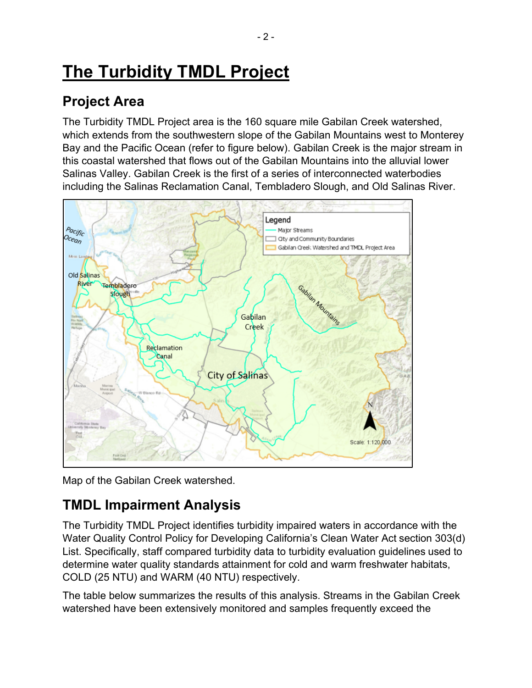# **The Turbidity TMDL Project**

## **Project Area**

The Turbidity TMDL Project area is the 160 square mile Gabilan Creek watershed, which extends from the southwestern slope of the Gabilan Mountains west to Monterey Bay and the Pacific Ocean (refer to figure below). Gabilan Creek is the major stream in this coastal watershed that flows out of the Gabilan Mountains into the alluvial lower Salinas Valley. Gabilan Creek is the first of a series of interconnected waterbodies including the Salinas Reclamation Canal, Tembladero Slough, and Old Salinas River.



Map of the Gabilan Creek watershed.

## **TMDL Impairment Analysis**

The Turbidity TMDL Project identifies turbidity impaired waters in accordance with the Water Quality Control Policy for Developing California's Clean Water Act section 303(d) List. Specifically, staff compared turbidity data to turbidity evaluation guidelines used to determine water quality standards attainment for cold and warm freshwater habitats, COLD (25 NTU) and WARM (40 NTU) respectively.

The table below summarizes the results of this analysis. Streams in the Gabilan Creek watershed have been extensively monitored and samples frequently exceed the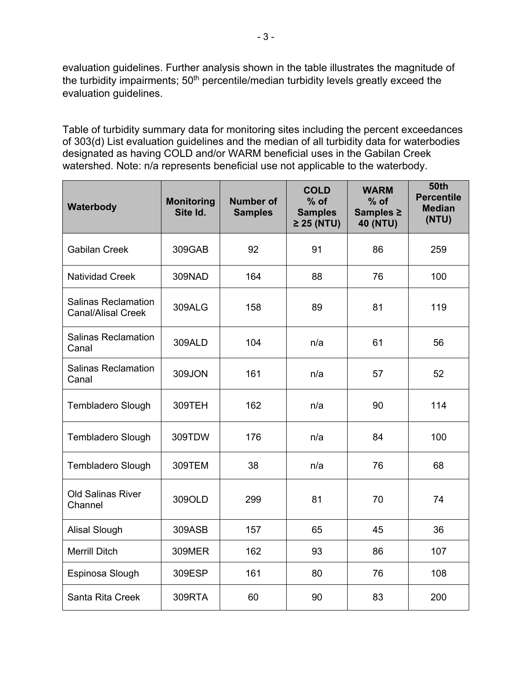evaluation guidelines. Further analysis shown in the table illustrates the magnitude of the turbidity impairments; 50<sup>th</sup> percentile/median turbidity levels greatly exceed the evaluation guidelines.

Table of turbidity summary data for monitoring sites including the percent exceedances of 303(d) List evaluation guidelines and the median of all turbidity data for waterbodies designated as having COLD and/or WARM beneficial uses in the Gabilan Creek watershed. Note: n/a represents beneficial use not applicable to the waterbody.

| Waterbody                                               | <b>Monitoring</b><br>Site Id. | <b>Number of</b><br><b>Samples</b> | <b>COLD</b><br>$%$ of<br><b>Samples</b><br>$\geq$ 25 (NTU) | <b>WARM</b><br>$%$ of<br>Samples ≥<br><b>40 (NTU)</b> | <b>50th</b><br><b>Percentile</b><br><b>Median</b><br>(NTU) |
|---------------------------------------------------------|-------------------------------|------------------------------------|------------------------------------------------------------|-------------------------------------------------------|------------------------------------------------------------|
| <b>Gabilan Creek</b>                                    | 309GAB                        | 92                                 | 91                                                         | 86                                                    | 259                                                        |
| <b>Natividad Creek</b>                                  | 309NAD                        | 164                                | 88                                                         | 76                                                    | 100                                                        |
| <b>Salinas Reclamation</b><br><b>Canal/Alisal Creek</b> | 309ALG                        | 158                                | 89                                                         | 81                                                    | 119                                                        |
| <b>Salinas Reclamation</b><br>Canal                     | 309ALD                        | 104                                | n/a                                                        | 61                                                    | 56                                                         |
| <b>Salinas Reclamation</b><br>Canal                     | 309JON                        | 161                                | n/a                                                        | 57                                                    | 52                                                         |
| Tembladero Slough                                       | 309TEH                        | 162                                | n/a                                                        | 90                                                    | 114                                                        |
| Tembladero Slough                                       | 309TDW                        | 176                                | n/a                                                        | 84                                                    | 100                                                        |
| <b>Tembladero Slough</b>                                | 309TEM                        | 38                                 | n/a                                                        | 76                                                    | 68                                                         |
| <b>Old Salinas River</b><br>Channel                     | 309OLD                        | 299                                | 81                                                         | 70                                                    | 74                                                         |
| <b>Alisal Slough</b>                                    | 309ASB                        | 157                                | 65                                                         | 45                                                    | 36                                                         |
| <b>Merrill Ditch</b>                                    | <b>309MER</b>                 | 162                                | 93                                                         | 86                                                    | 107                                                        |
| Espinosa Slough                                         | 309ESP                        | 161                                | 80                                                         | 76                                                    | 108                                                        |
| Santa Rita Creek                                        | 309RTA                        | 60                                 | 90                                                         | 83                                                    | 200                                                        |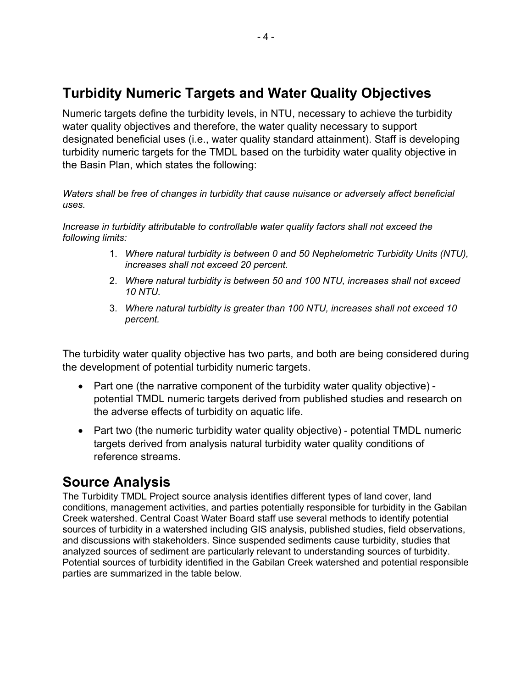#### **Turbidity Numeric Targets and Water Quality Objectives**

Numeric targets define the turbidity levels, in NTU, necessary to achieve the turbidity water quality objectives and therefore, the water quality necessary to support designated beneficial uses (i.e., water quality standard attainment). Staff is developing turbidity numeric targets for the TMDL based on the turbidity water quality objective in the Basin Plan, which states the following:

*Waters shall be free of changes in turbidity that cause nuisance or adversely affect beneficial uses.*

*Increase in turbidity attributable to controllable water quality factors shall not exceed the following limits:* 

- 1. *Where natural turbidity is between 0 and 50 Nephelometric Turbidity Units (NTU), increases shall not exceed 20 percent.*
- 2. *Where natural turbidity is between 50 and 100 NTU, increases shall not exceed 10 NTU.*
- 3. *Where natural turbidity is greater than 100 NTU, increases shall not exceed 10 percent.*

The turbidity water quality objective has two parts, and both are being considered during the development of potential turbidity numeric targets.

- · Part one (the narrative component of the turbidity water quality objective) potential TMDL numeric targets derived from published studies and research on the adverse effects of turbidity on aquatic life.
- · Part two (the numeric turbidity water quality objective) potential TMDL numeric targets derived from analysis natural turbidity water quality conditions of reference streams.

#### **Source Analysis**

The Turbidity TMDL Project source analysis identifies different types of land cover, land conditions, management activities, and parties potentially responsible for turbidity in the Gabilan Creek watershed. Central Coast Water Board staff use several methods to identify potential sources of turbidity in a watershed including GIS analysis, published studies, field observations, and discussions with stakeholders. Since suspended sediments cause turbidity, studies that analyzed sources of sediment are particularly relevant to understanding sources of turbidity. Potential sources of turbidity identified in the Gabilan Creek watershed and potential responsible parties are summarized in the table below.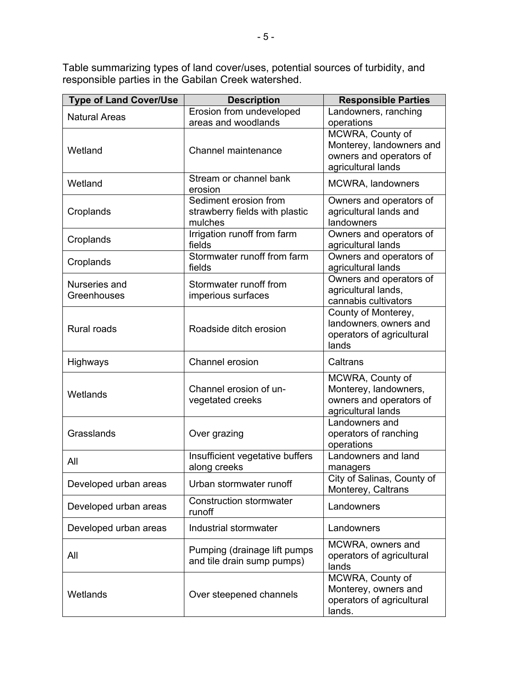Table summarizing types of land cover/uses, potential sources of turbidity, and responsible parties in the Gabilan Creek watershed.

| <b>Type of Land Cover/Use</b> | <b>Description</b>                                                 | <b>Responsible Parties</b>                                                                    |  |
|-------------------------------|--------------------------------------------------------------------|-----------------------------------------------------------------------------------------------|--|
| <b>Natural Areas</b>          | Erosion from undeveloped                                           | Landowners, ranching                                                                          |  |
|                               | areas and woodlands                                                | operations                                                                                    |  |
| Wetland                       | Channel maintenance                                                | MCWRA, County of<br>Monterey, landowners and<br>owners and operators of<br>agricultural lands |  |
| Wetland                       | Stream or channel bank<br>erosion                                  | <b>MCWRA, landowners</b>                                                                      |  |
| Croplands                     | Sediment erosion from<br>strawberry fields with plastic<br>mulches | Owners and operators of<br>agricultural lands and<br>landowners                               |  |
| Croplands                     | Irrigation runoff from farm<br>fields                              | Owners and operators of<br>agricultural lands                                                 |  |
| Croplands                     | Stormwater runoff from farm<br>fields                              | Owners and operators of<br>agricultural lands                                                 |  |
| Nurseries and<br>Greenhouses  | Stormwater runoff from<br>imperious surfaces                       | Owners and operators of<br>agricultural lands,<br>cannabis cultivators                        |  |
| <b>Rural roads</b>            | Roadside ditch erosion                                             | County of Monterey,<br>landowners, owners and<br>operators of agricultural<br>lands           |  |
| Highways                      | <b>Channel erosion</b>                                             | Caltrans                                                                                      |  |
| Wetlands                      | Channel erosion of un-<br>vegetated creeks                         | MCWRA, County of<br>Monterey, landowners,<br>owners and operators of<br>agricultural lands    |  |
| Grasslands                    | Over grazing                                                       | Landowners and<br>operators of ranching<br>operations                                         |  |
| All                           | Insufficient vegetative buffers<br>along creeks                    | Landowners and land<br>managers                                                               |  |
| Developed urban areas         | Urban stormwater runoff                                            | City of Salinas, County of<br>Monterey, Caltrans                                              |  |
| Developed urban areas         | <b>Construction stormwater</b><br>runoff                           | Landowners                                                                                    |  |
| Developed urban areas         | Industrial stormwater                                              | Landowners                                                                                    |  |
| All                           | Pumping (drainage lift pumps<br>and tile drain sump pumps)         |                                                                                               |  |
| Wetlands                      | Over steepened channels                                            | MCWRA, County of<br>Monterey, owners and<br>operators of agricultural<br>lands.               |  |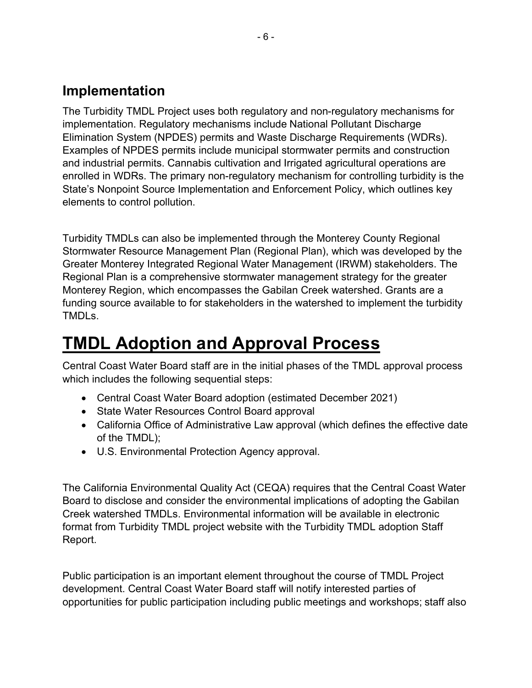#### **Implementation**

The Turbidity TMDL Project uses both regulatory and non-regulatory mechanisms for implementation. Regulatory mechanisms include National Pollutant Discharge Elimination System (NPDES) permits and Waste Discharge Requirements (WDRs). Examples of NPDES permits include municipal stormwater permits and construction and industrial permits. Cannabis cultivation and Irrigated agricultural operations are enrolled in WDRs. The primary non-regulatory mechanism for controlling turbidity is the State's Nonpoint Source Implementation and Enforcement Policy, which outlines key elements to control pollution.

Turbidity TMDLs can also be implemented through the Monterey County Regional Stormwater Resource Management Plan (Regional Plan), which was developed by the Greater Monterey Integrated Regional Water Management (IRWM) stakeholders. The Regional Plan is a comprehensive stormwater management strategy for the greater Monterey Region, which encompasses the Gabilan Creek watershed. Grants are a funding source available to for stakeholders in the watershed to implement the turbidity TMDLs.

# **TMDL Adoption and Approval Process**

Central Coast Water Board staff are in the initial phases of the TMDL approval process which includes the following sequential steps:

- · Central Coast Water Board adoption (estimated December 2021)
- · State Water Resources Control Board approval
- · California Office of Administrative Law approval (which defines the effective date of the TMDL);
- · U.S. Environmental Protection Agency approval.

The California Environmental Quality Act (CEQA) requires that the Central Coast Water Board to disclose and consider the environmental implications of adopting the Gabilan Creek watershed TMDLs. Environmental information will be available in electronic format from Turbidity TMDL project website with the Turbidity TMDL adoption Staff Report.

Public participation is an important element throughout the course of TMDL Project development. Central Coast Water Board staff will notify interested parties of opportunities for public participation including public meetings and workshops; staff also